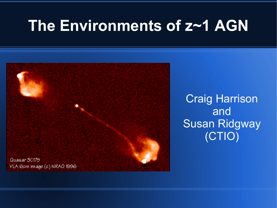## **The Environments of z~1 AGN**



Craig Harrison and Susan Ridgway (CTIO)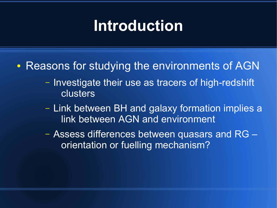# **Introduction**

• Reasons for studying the environments of AGN

- Investigate their use as tracers of high-redshift clusters
- Link between BH and galaxy formation implies a link between AGN and environment
- Assess differences between quasars and RG orientation or fuelling mechanism?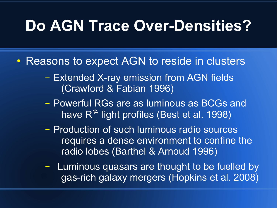## **Do AGN Trace Over-Densities?**

• Reasons to expect AGN to reside in clusters

- Extended X-ray emission from AGN fields (Crawford & Fabian 1996)
- Powerful RGs are as luminous as BCGs and have  $R^{\prime\prime\prime}$  light profiles (Best et al. 1998)
- Production of such luminous radio sources requires a dense environment to confine the radio lobes (Barthel & Arnoud 1996)
- Luminous quasars are thought to be fuelled by gas-rich galaxy mergers (Hopkins et al. 2008)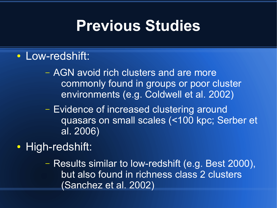## **Previous Studies**

#### • Low-redshift:

– AGN avoid rich clusters and are more commonly found in groups or poor cluster environments (e.g. Coldwell et al. 2002)

- Evidence of increased clustering around quasars on small scales (<100 kpc; Serber et al. 2006)
- High-redshift:
	- Results similar to low-redshift (e.g. Best 2000), but also found in richness class 2 clusters (Sanchez et al. 2002)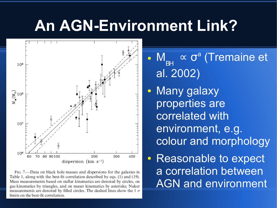## **An AGN-Environment Link?**



FIG. 7.—Data on black hole masses and dispersions for the galaxies in Table 1, along with the best-fit correlation described by eqs. (1) and (19). Mass measurements based on stellar kinematics are denoted by circles, on gas kinematics by triangles, and on maser kinematics by asterisks; Nuker measurements are denoted by filled circles. The dashed lines show the 1  $\sigma$ limits on the best-fit correlation.

 $\bullet$ **BH** ∝ σ a (Tremaine et al. 2002) • Many galaxy properties are correlated with environment, e.g. colour and morphology

• Reasonable to expect a correlation between AGN and environment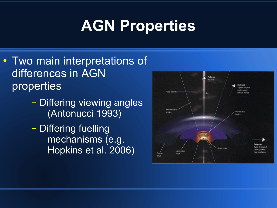# **AGN Properties**

- Two main interpretations of differences in AGN properties
	- Differing viewing angles (Antonucci 1993)
	- Differing fuelling mechanisms (e.g. Hopkins et al. 2006)

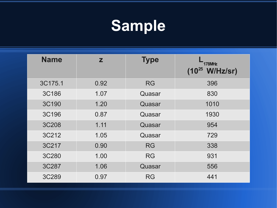# **Sample**

| <b>Name</b> | $\mathbf{Z}$ | <b>Type</b> | <b>178MHz</b><br>$(10^{25} \text{ W/Hz/sr})$ |
|-------------|--------------|-------------|----------------------------------------------|
| 3C175.1     | 0.92         | <b>RG</b>   | 396                                          |
| 3C186       | 1.07         | Quasar      | 830                                          |
| 3C190       | 1.20         | Quasar      | 1010                                         |
| 3C196       | 0.87         | Quasar      | 1930                                         |
| 3C208       | 1.11         | Quasar      | 954                                          |
| 3C212       | 1.05         | Quasar      | 729                                          |
| 3C217       | 0.90         | <b>RG</b>   | 338                                          |
| 3C280       | 1.00         | <b>RG</b>   | 931                                          |
| 3C287       | 1.06         | Quasar      | 556                                          |
| 3C289       | 0.97         | <b>RG</b>   | 441                                          |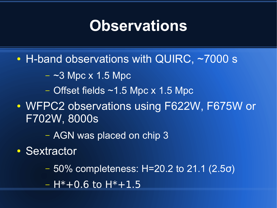# **Observations**

- H-band observations with QUIRC, ~7000 s
	- ~3 Mpc x 1.5 Mpc
	- Offset fields  $~1.5$  Mpc x 1.5 Mpc
- WFPC2 observations using F622W, F675W or F702W, 8000s
	- AGN was placed on chip 3
- Sextractor
	- 50% completeness: H=20.2 to 21.1 (2.5σ)
	- $H*+0.6$  to  $H*+1.5$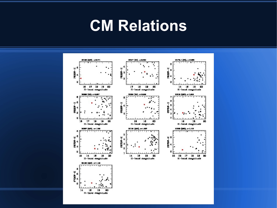## **CM Relations**

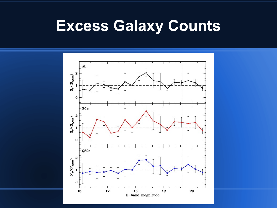## **Excess Galaxy Counts**

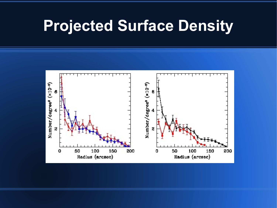## **Projected Surface Density**

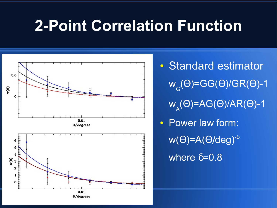## **2-Point Correlation Function**



• Standard estimator  $\mathsf{w}_{_{\mathsf{G}}}(\Theta)$ =GG( $\Theta$ )/GR( $\Theta$ )-1 w A (Θ)=AG(Θ)/AR(Θ)-1 • Power law form:  $w(\Theta) = A(\Theta/\text{deg})^{-\delta}$ where  $δ=0.8$